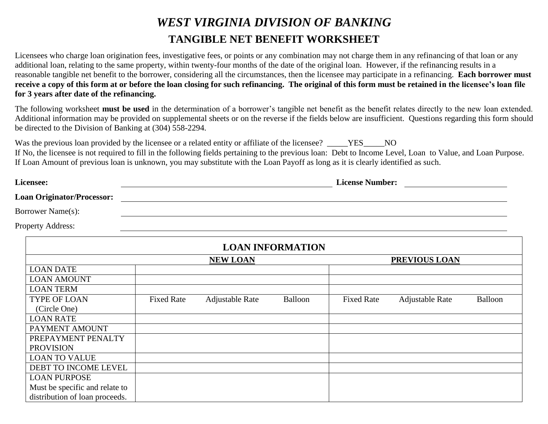## *WEST VIRGINIA DIVISION OF BANKING* **TANGIBLE NET BENEFIT WORKSHEET**

Licensees who charge loan origination fees, investigative fees, or points or any combination may not charge them in any refinancing of that loan or any additional loan, relating to the same property, within twenty-four months of the date of the original loan. However, if the refinancing results in a reasonable tangible net benefit to the borrower, considering all the circumstances, then the licensee may participate in a refinancing. **Each borrower must receive a copy of this form at or before the loan closing for such refinancing. The original of this form must be retained in the licensee's loan file for 3 years after date of the refinancing.**

The following worksheet **must be used** in the determination of a borrower's tangible net benefit as the benefit relates directly to the new loan extended. Additional information may be provided on supplemental sheets or on the reverse if the fields below are insufficient. Questions regarding this form should be directed to the Division of Banking at (304) 558-2294.

Was the previous loan provided by the licensee or a related entity or affiliate of the licensee? TES NO If No, the licensee is not required to fill in the following fields pertaining to the previous loan: Debt to Income Level, Loan to Value, and Loan Purpose. If Loan Amount of previous loan is unknown, you may substitute with the Loan Payoff as long as it is clearly identified as such.

| Licensee:                         |                   |                        |                         | <b>License Number:</b> |                        |         |
|-----------------------------------|-------------------|------------------------|-------------------------|------------------------|------------------------|---------|
| <b>Loan Originator/Processor:</b> |                   |                        |                         |                        |                        |         |
| Borrower Name(s):                 |                   |                        |                         |                        |                        |         |
| <b>Property Address:</b>          |                   |                        |                         |                        |                        |         |
|                                   |                   |                        | <b>LOAN INFORMATION</b> |                        |                        |         |
|                                   | <b>NEW LOAN</b>   |                        | PREVIOUS LOAN           |                        |                        |         |
| <b>LOAN DATE</b>                  |                   |                        |                         |                        |                        |         |
| <b>LOAN AMOUNT</b>                |                   |                        |                         |                        |                        |         |
| <b>LOAN TERM</b>                  |                   |                        |                         |                        |                        |         |
| <b>TYPE OF LOAN</b>               | <b>Fixed Rate</b> | <b>Adjustable Rate</b> | Balloon                 | <b>Fixed Rate</b>      | <b>Adjustable Rate</b> | Balloon |
| (Circle One)                      |                   |                        |                         |                        |                        |         |
| <b>LOAN RATE</b>                  |                   |                        |                         |                        |                        |         |
| PAYMENT AMOUNT                    |                   |                        |                         |                        |                        |         |
| PREPAYMENT PENALTY                |                   |                        |                         |                        |                        |         |
| <b>PROVISION</b>                  |                   |                        |                         |                        |                        |         |
| <b>LOAN TO VALUE</b>              |                   |                        |                         |                        |                        |         |
| DEBT TO INCOME LEVEL              |                   |                        |                         |                        |                        |         |
| <b>LOAN PURPOSE</b>               |                   |                        |                         |                        |                        |         |
| Must be specific and relate to    |                   |                        |                         |                        |                        |         |
| distribution of loan proceeds.    |                   |                        |                         |                        |                        |         |